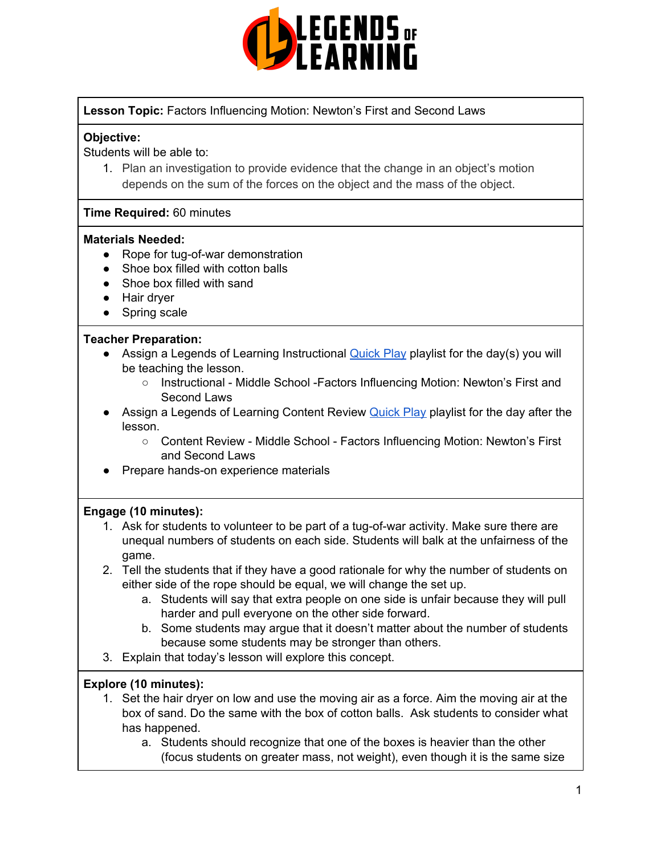

# **Lesson Topic:** Factors Influencing Motion: Newton's First and Second Laws

#### **Objective:**

Students will be able to:

1. Plan an investigation to provide evidence that the change in an object's motion depends on the sum of the forces on the object and the mass of the object.

#### **Time Required:** 60 minutes

#### **Materials Needed:**

- Rope for tug-of-war demonstration
- Shoe box filled with cotton balls
- Shoe box filled with sand
- Hair dryer
- Spring scale

#### **Teacher Preparation:**

- Assign a Legends of Learning Instructional [Quick](https://intercom.help/legends-of-learning/en/articles/2701866-assigning-a-quick-play-playlist) Play playlist for the day(s) you will be teaching the lesson.
	- Instructional Middle School -Factors Influencing Motion: Newton's First and Second Laws
- Assign a Legends of Learning Content Review [Quick](https://intercom.help/legends-of-learning/en/articles/2701866-assigning-a-quick-play-playlist) Play playlist for the day after the lesson.
	- Content Review Middle School Factors Influencing Motion: Newton's First and Second Laws
- Prepare hands-on experience materials

# **Engage (10 minutes):**

- 1. Ask for students to volunteer to be part of a tug-of-war activity. Make sure there are unequal numbers of students on each side. Students will balk at the unfairness of the game.
- 2. Tell the students that if they have a good rationale for why the number of students on either side of the rope should be equal, we will change the set up.
	- a. Students will say that extra people on one side is unfair because they will pull harder and pull everyone on the other side forward.
	- b. Some students may argue that it doesn't matter about the number of students because some students may be stronger than others.
- 3. Explain that today's lesson will explore this concept.

# **Explore (10 minutes):**

- 1. Set the hair dryer on low and use the moving air as a force. Aim the moving air at the box of sand. Do the same with the box of cotton balls. Ask students to consider what has happened.
	- a. Students should recognize that one of the boxes is heavier than the other (focus students on greater mass, not weight), even though it is the same size